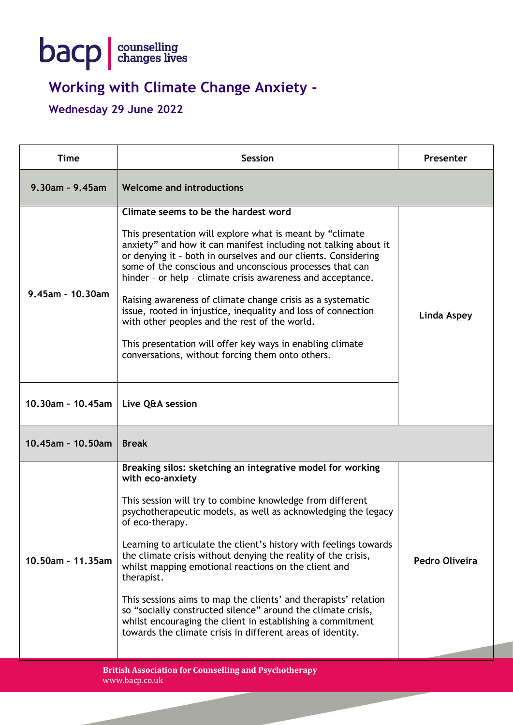

## **Working with Climate Change Anxiety -**

## **Wednesday 29 June 2022**

| <b>Time</b>                                                                    | <b>Session</b>                                                                                                                                                                                                                                                                                                                                                                                                                                                                                                                                                                                                                                                                                             | <b>Presenter</b> |  |
|--------------------------------------------------------------------------------|------------------------------------------------------------------------------------------------------------------------------------------------------------------------------------------------------------------------------------------------------------------------------------------------------------------------------------------------------------------------------------------------------------------------------------------------------------------------------------------------------------------------------------------------------------------------------------------------------------------------------------------------------------------------------------------------------------|------------------|--|
| $9.30$ am - $9.45$ am                                                          | <b>Welcome and introductions</b>                                                                                                                                                                                                                                                                                                                                                                                                                                                                                                                                                                                                                                                                           |                  |  |
| 9.45am - 10.30am                                                               | Climate seems to be the hardest word<br>This presentation will explore what is meant by "climate<br>anxiety" and how it can manifest including not talking about it<br>or denying it - both in ourselves and our clients. Considering<br>some of the conscious and unconscious processes that can<br>hinder - or help - climate crisis awareness and acceptance.<br>Raising awareness of climate change crisis as a systematic<br>issue, rooted in injustice, inequality and loss of connection<br>with other peoples and the rest of the world.<br>This presentation will offer key ways in enabling climate<br>conversations, without forcing them onto others.                                          | Linda Aspey      |  |
| 10.30am - 10.45am   Live Q&A session                                           |                                                                                                                                                                                                                                                                                                                                                                                                                                                                                                                                                                                                                                                                                                            |                  |  |
| 10.45am - 10.50am                                                              | <b>Break</b>                                                                                                                                                                                                                                                                                                                                                                                                                                                                                                                                                                                                                                                                                               |                  |  |
| 10.50am - 11.35am                                                              | Breaking silos: sketching an integrative model for working<br>with eco-anxiety<br>This session will try to combine knowledge from different<br>psychotherapeutic models, as well as acknowledging the legacy<br>of eco-therapy.<br>Learning to articulate the client's history with feelings towards<br>the climate crisis without denying the reality of the crisis,<br>whilst mapping emotional reactions on the client and<br>therapist.<br>This sessions aims to map the clients' and therapists' relation<br>so "socially constructed silence" around the climate crisis,<br>whilst encouraging the client in establishing a commitment<br>towards the climate crisis in different areas of identity. | Pedro Oliveira   |  |
| <b>British Association for Counselling and Psychotherapy</b><br>www.bacp.co.uk |                                                                                                                                                                                                                                                                                                                                                                                                                                                                                                                                                                                                                                                                                                            |                  |  |